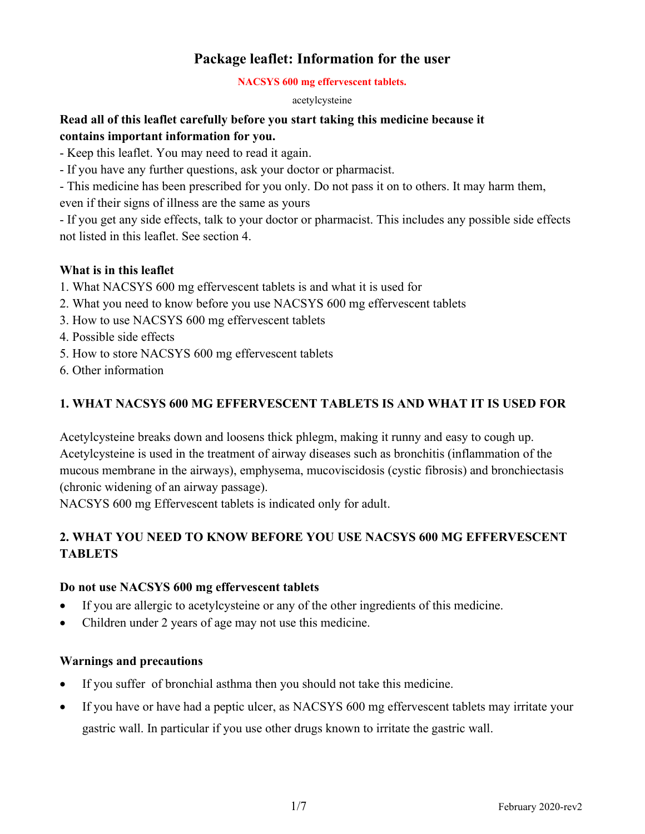# **Package leaflet: Information for the user**

#### **NACSYS 600 mg effervescent tablets.**

acetylcysteine

# **Read all of this leaflet carefully before you start taking this medicine because it contains important information for you.**

- Keep this leaflet. You may need to read it again.

- If you have any further questions, ask your doctor or pharmacist.

- This medicine has been prescribed for you only. Do not pass it on to others. It may harm them, even if their signs of illness are the same as yours

- If you get any side effects, talk to your doctor or pharmacist. This includes any possible side effects not listed in this leaflet. See section 4.

# **What is in this leaflet**

- 1. What NACSYS 600 mg effervescent tablets is and what it is used for
- 2. What you need to know before you use NACSYS 600 mg effervescent tablets
- 3. How to use NACSYS 600 mg effervescent tablets
- 4. Possible side effects
- 5. How to store NACSYS 600 mg effervescent tablets
- 6. Other information

# **1. WHAT NACSYS 600 MG EFFERVESCENT TABLETS IS AND WHAT IT IS USED FOR**

Acetylcysteine breaks down and loosens thick phlegm, making it runny and easy to cough up. Acetylcysteine is used in the treatment of airway diseases such as bronchitis (inflammation of the mucous membrane in the airways), emphysema, mucoviscidosis (cystic fibrosis) and bronchiectasis (chronic widening of an airway passage).

NACSYS 600 mg Effervescent tablets is indicated only for adult.

# **2. WHAT YOU NEED TO KNOW BEFORE YOU USE NACSYS 600 MG EFFERVESCENT TABLETS**

## **Do not use NACSYS 600 mg effervescent tablets**

- If you are allergic to acetylcysteine or any of the other ingredients of this medicine.
- Children under 2 years of age may not use this medicine.

## **Warnings and precautions**

- If you suffer of bronchial asthma then you should not take this medicine.
- If you have or have had a peptic ulcer, as NACSYS 600 mg effervescent tablets may irritate your gastric wall. In particular if you use other drugs known to irritate the gastric wall.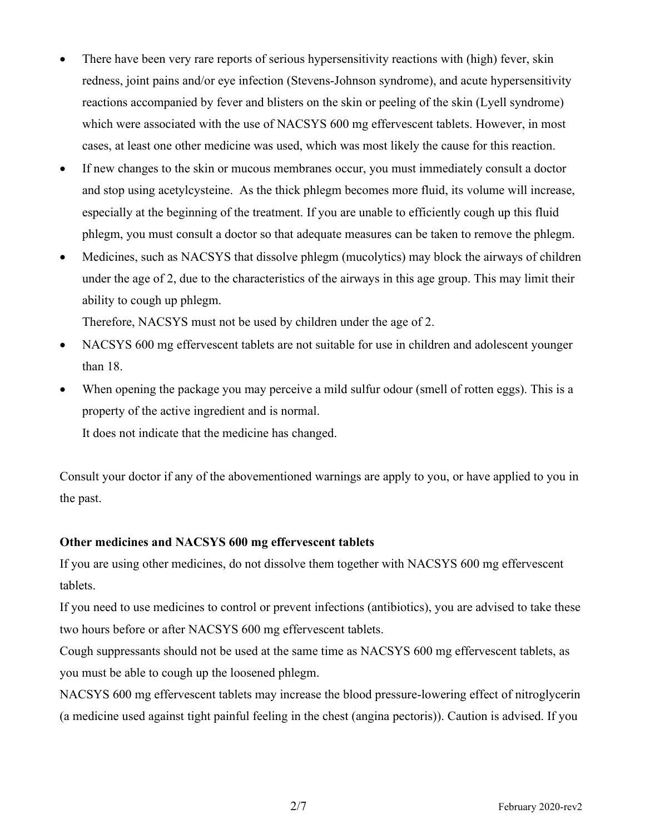- There have been very rare reports of serious hypersensitivity reactions with (high) fever, skin redness, joint pains and/or eye infection (Stevens-Johnson syndrome), and acute hypersensitivity reactions accompanied by fever and blisters on the skin or peeling of the skin (Lyell syndrome) which were associated with the use of NACSYS 600 mg effervescent tablets. However, in most cases, at least one other medicine was used, which was most likely the cause for this reaction.
- If new changes to the skin or mucous membranes occur, you must immediately consult a doctor and stop using acetylcysteine. As the thick phlegm becomes more fluid, its volume will increase, especially at the beginning of the treatment. If you are unable to efficiently cough up this fluid phlegm, you must consult a doctor so that adequate measures can be taken to remove the phlegm.
- Medicines, such as NACSYS that dissolve phlegm (mucolytics) may block the airways of children under the age of 2, due to the characteristics of the airways in this age group. This may limit their ability to cough up phlegm.

Therefore, NACSYS must not be used by children under the age of 2.

- NACSYS 600 mg effervescent tablets are not suitable for use in children and adolescent younger than 18.
- When opening the package you may perceive a mild sulfur odour (smell of rotten eggs). This is a property of the active ingredient and is normal.

It does not indicate that the medicine has changed.

Consult your doctor if any of the abovementioned warnings are apply to you, or have applied to you in the past.

## **Other medicines and NACSYS 600 mg effervescent tablets**

If you are using other medicines, do not dissolve them together with NACSYS 600 mg effervescent tablets.

If you need to use medicines to control or prevent infections (antibiotics), you are advised to take these two hours before or after NACSYS 600 mg effervescent tablets.

Cough suppressants should not be used at the same time as NACSYS 600 mg effervescent tablets, as you must be able to cough up the loosened phlegm.

NACSYS 600 mg effervescent tablets may increase the blood pressure-lowering effect of nitroglycerin (a medicine used against tight painful feeling in the chest (angina pectoris)). Caution is advised. If you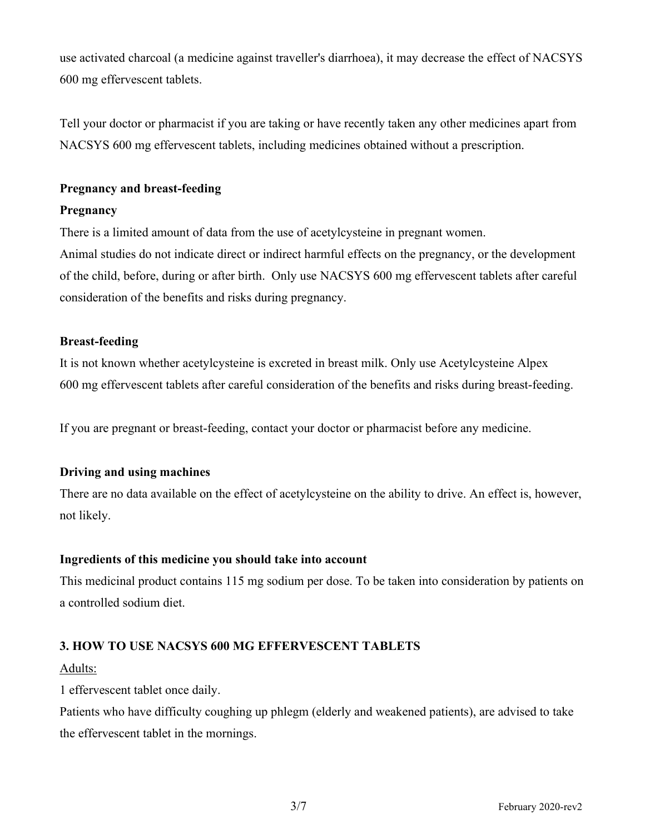use activated charcoal (a medicine against traveller's diarrhoea), it may decrease the effect of NACSYS 600 mg effervescent tablets.

Tell your doctor or pharmacist if you are taking or have recently taken any other medicines apart from NACSYS 600 mg effervescent tablets, including medicines obtained without a prescription.

## **Pregnancy and breast-feeding**

## **Pregnancy**

There is a limited amount of data from the use of acetylcysteine in pregnant women.

Animal studies do not indicate direct or indirect harmful effects on the pregnancy, or the development of the child, before, during or after birth. Only use NACSYS 600 mg effervescent tablets after careful consideration of the benefits and risks during pregnancy.

## **Breast-feeding**

It is not known whether acetylcysteine is excreted in breast milk. Only use Acetylcysteine Alpex 600 mg effervescent tablets after careful consideration of the benefits and risks during breast-feeding.

If you are pregnant or breast-feeding, contact your doctor or pharmacist before any medicine.

## **Driving and using machines**

There are no data available on the effect of acetylcysteine on the ability to drive. An effect is, however, not likely.

## **Ingredients of this medicine you should take into account**

This medicinal product contains 115 mg sodium per dose. To be taken into consideration by patients on a controlled sodium diet.

## **3. HOW TO USE NACSYS 600 MG EFFERVESCENT TABLETS**

## Adults:

1 effervescent tablet once daily.

Patients who have difficulty coughing up phlegm (elderly and weakened patients), are advised to take the effervescent tablet in the mornings.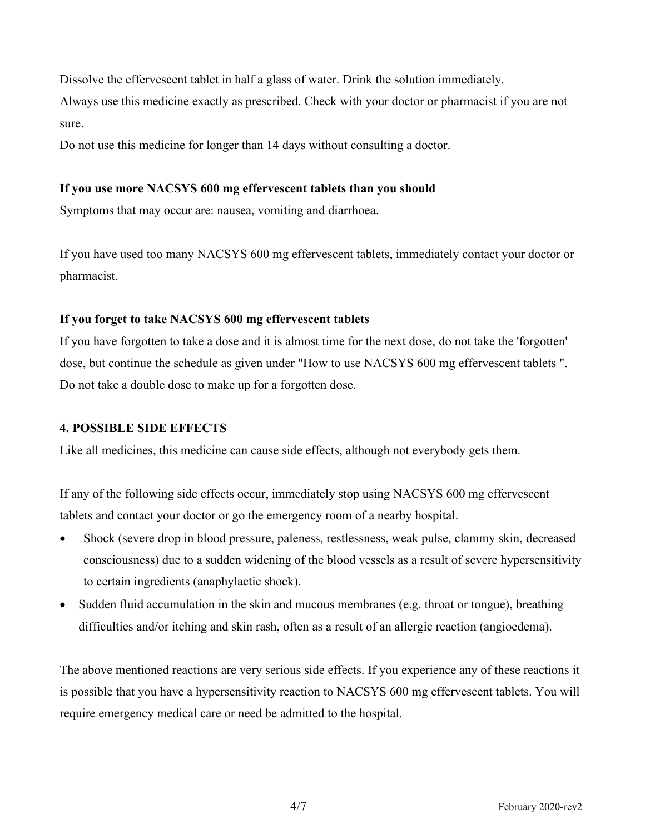Dissolve the effervescent tablet in half a glass of water. Drink the solution immediately.

Always use this medicine exactly as prescribed. Check with your doctor or pharmacist if you are not sure.

Do not use this medicine for longer than 14 days without consulting a doctor.

## **If you use more NACSYS 600 mg effervescent tablets than you should**

Symptoms that may occur are: nausea, vomiting and diarrhoea.

If you have used too many NACSYS 600 mg effervescent tablets, immediately contact your doctor or pharmacist.

## **If you forget to take NACSYS 600 mg effervescent tablets**

If you have forgotten to take a dose and it is almost time for the next dose, do not take the 'forgotten' dose, but continue the schedule as given under "How to use NACSYS 600 mg effervescent tablets ". Do not take a double dose to make up for a forgotten dose.

## **4. POSSIBLE SIDE EFFECTS**

Like all medicines, this medicine can cause side effects, although not everybody gets them.

If any of the following side effects occur, immediately stop using NACSYS 600 mg effervescent tablets and contact your doctor or go the emergency room of a nearby hospital.

- Shock (severe drop in blood pressure, paleness, restlessness, weak pulse, clammy skin, decreased consciousness) due to a sudden widening of the blood vessels as a result of severe hypersensitivity to certain ingredients (anaphylactic shock).
- Sudden fluid accumulation in the skin and mucous membranes (e.g. throat or tongue), breathing difficulties and/or itching and skin rash, often as a result of an allergic reaction (angioedema).

The above mentioned reactions are very serious side effects. If you experience any of these reactions it is possible that you have a hypersensitivity reaction to NACSYS 600 mg effervescent tablets. You will require emergency medical care or need be admitted to the hospital.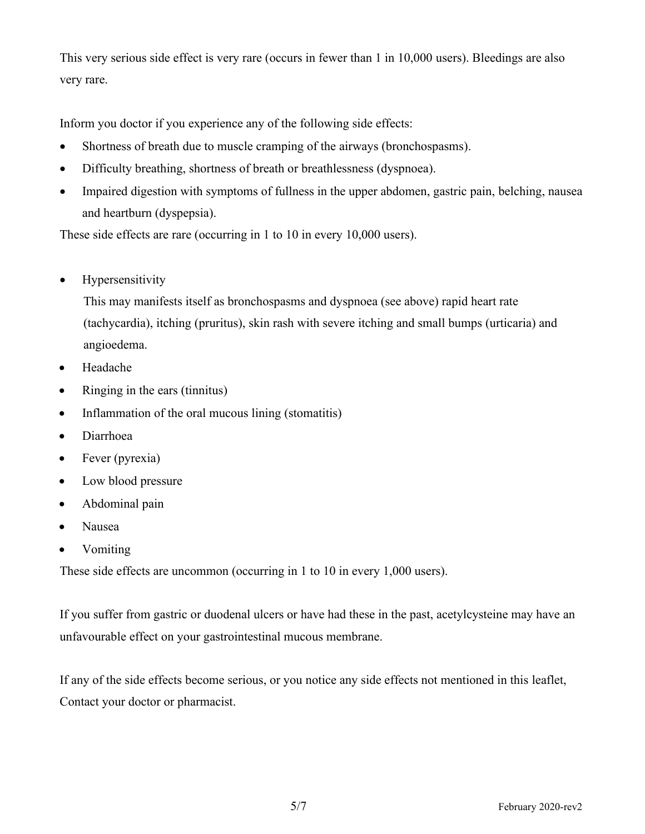This very serious side effect is very rare (occurs in fewer than 1 in 10,000 users). Bleedings are also very rare.

Inform you doctor if you experience any of the following side effects:

- Shortness of breath due to muscle cramping of the airways (bronchospasms).
- Difficulty breathing, shortness of breath or breathlessness (dyspnoea).
- Impaired digestion with symptoms of fullness in the upper abdomen, gastric pain, belching, nausea and heartburn (dyspepsia).

These side effects are rare (occurring in 1 to 10 in every 10,000 users).

• Hypersensitivity

This may manifests itself as bronchospasms and dyspnoea (see above) rapid heart rate (tachycardia), itching (pruritus), skin rash with severe itching and small bumps (urticaria) and angioedema.

- Headache
- Ringing in the ears (tinnitus)
- Inflammation of the oral mucous lining (stomatitis)
- Diarrhoea
- Fever (pyrexia)
- Low blood pressure
- Abdominal pain
- Nausea
- Vomiting

These side effects are uncommon (occurring in 1 to 10 in every 1,000 users).

If you suffer from gastric or duodenal ulcers or have had these in the past, acetylcysteine may have an unfavourable effect on your gastrointestinal mucous membrane.

If any of the side effects become serious, or you notice any side effects not mentioned in this leaflet, Contact your doctor or pharmacist.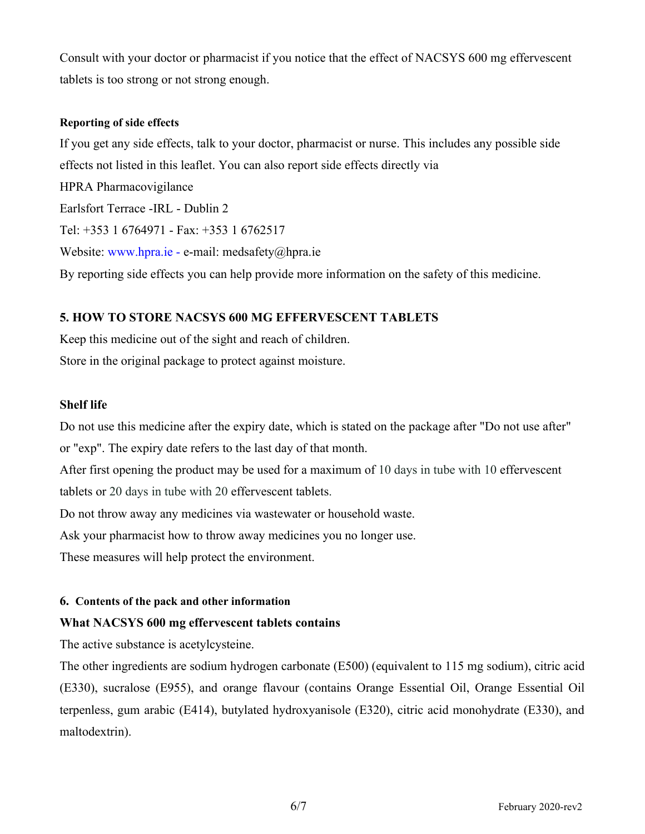Consult with your doctor or pharmacist if you notice that the effect of NACSYS 600 mg effervescent tablets is too strong or not strong enough.

## **Reporting of side effects**

If you get any side effects, talk to your doctor, pharmacist or nurse. This includes any possible side effects not listed in this leaflet. You can also report side effects directly via HPRA Pharmacovigilance Earlsfort Terrace -IRL - Dublin 2 Tel: +353 1 6764971 - Fax: +353 1 6762517 Website: [www.hpra.ie](http://www.hpra.ie/) - e-mail: medsafety@hpra.ie By reporting side effects you can help provide more information on the safety of this medicine.

# **5. HOW TO STORE NACSYS 600 MG EFFERVESCENT TABLETS**

Keep this medicine out of the sight and reach of children. Store in the original package to protect against moisture.

## **Shelf life**

Do not use this medicine after the expiry date, which is stated on the package after "Do not use after" or "exp". The expiry date refers to the last day of that month.

After first opening the product may be used for a maximum of 10 days in tube with 10 effervescent tablets or 20 days in tube with 20 effervescent tablets.

Do not throw away any medicines via wastewater or household waste.

Ask your pharmacist how to throw away medicines you no longer use.

These measures will help protect the environment.

## **6. Contents of the pack and other information**

## **What NACSYS 600 mg effervescent tablets contains**

The active substance is acetylcysteine.

The other ingredients are sodium hydrogen carbonate (E500) (equivalent to 115 mg sodium), citric acid (E330), sucralose (E955), and orange flavour (contains Orange Essential Oil, Orange Essential Oil terpenless, gum arabic (E414), butylated hydroxyanisole (E320), citric acid monohydrate (E330), and maltodextrin).